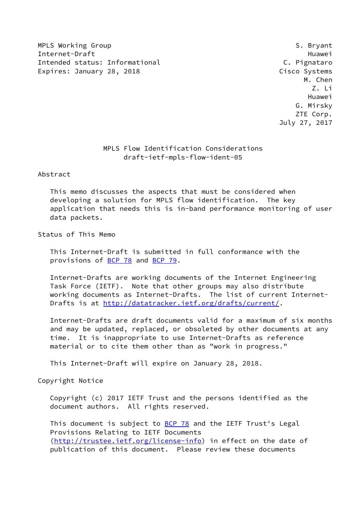MPLS Working Group **S. Bryant** S. Bryant Internet-Draft Huawei Intended status: Informational C. Pignataro Expires: January 28, 2018 Cisco Systems

 M. Chen Z. Li Huawei G. Mirsky ZTE Corp. July 27, 2017

# MPLS Flow Identification Considerations draft-ietf-mpls-flow-ident-05

Abstract

 This memo discusses the aspects that must be considered when developing a solution for MPLS flow identification. The key application that needs this is in-band performance monitoring of user data packets.

Status of This Memo

 This Internet-Draft is submitted in full conformance with the provisions of [BCP 78](https://datatracker.ietf.org/doc/pdf/bcp78) and [BCP 79](https://datatracker.ietf.org/doc/pdf/bcp79).

 Internet-Drafts are working documents of the Internet Engineering Task Force (IETF). Note that other groups may also distribute working documents as Internet-Drafts. The list of current Internet- Drafts is at<http://datatracker.ietf.org/drafts/current/>.

 Internet-Drafts are draft documents valid for a maximum of six months and may be updated, replaced, or obsoleted by other documents at any time. It is inappropriate to use Internet-Drafts as reference material or to cite them other than as "work in progress."

This Internet-Draft will expire on January 28, 2018.

Copyright Notice

 Copyright (c) 2017 IETF Trust and the persons identified as the document authors. All rights reserved.

This document is subject to **[BCP 78](https://datatracker.ietf.org/doc/pdf/bcp78)** and the IETF Trust's Legal Provisions Relating to IETF Documents [\(http://trustee.ietf.org/license-info](http://trustee.ietf.org/license-info)) in effect on the date of publication of this document. Please review these documents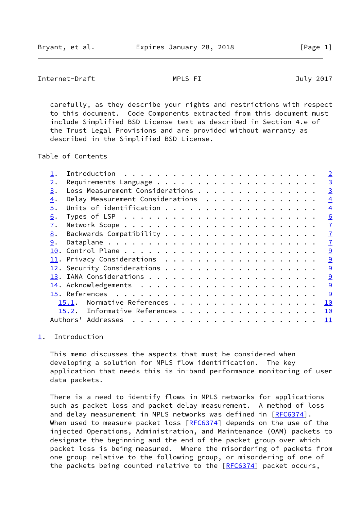# <span id="page-1-1"></span>Internet-Draft MPLS FI July 2017

 carefully, as they describe your rights and restrictions with respect to this document. Code Components extracted from this document must include Simplified BSD License text as described in Section 4.e of the Trust Legal Provisions and are provided without warranty as described in the Simplified BSD License.

Table of Contents

|    |                                  | $\overline{2}$                                                                                        |
|----|----------------------------------|-------------------------------------------------------------------------------------------------------|
| 2. |                                  | $\overline{3}$                                                                                        |
| 3. | Loss Measurement Considerations  | $\overline{3}$                                                                                        |
| 4. | Delay Measurement Considerations | $\overline{4}$                                                                                        |
| 5. |                                  | $\overline{4}$                                                                                        |
| 6. |                                  | 6                                                                                                     |
| 7. |                                  | $\overline{1}$                                                                                        |
| 8. |                                  | $\overline{1}$                                                                                        |
| 9. |                                  | $\overline{1}$                                                                                        |
|    |                                  | 9                                                                                                     |
|    |                                  | $\overline{9}$                                                                                        |
|    |                                  | 9                                                                                                     |
|    |                                  | 9                                                                                                     |
|    |                                  | 9                                                                                                     |
|    |                                  | 9                                                                                                     |
|    |                                  |                                                                                                       |
|    |                                  |                                                                                                       |
|    |                                  |                                                                                                       |
|    |                                  | Normative References<br>10<br>15.1.<br>15.2. Informative References<br>10<br>Authors' Addresses<br>11 |

# <span id="page-1-0"></span>[1](#page-1-0). Introduction

 This memo discusses the aspects that must be considered when developing a solution for MPLS flow identification. The key application that needs this is in-band performance monitoring of user data packets.

 There is a need to identify flows in MPLS networks for applications such as packet loss and packet delay measurement. A method of loss and delay measurement in MPLS networks was defined in [[RFC6374](https://datatracker.ietf.org/doc/pdf/rfc6374)]. When used to measure packet loss  $[REC6374]$  depends on the use of the injected Operations, Administration, and Maintenance (OAM) packets to designate the beginning and the end of the packet group over which packet loss is being measured. Where the misordering of packets from one group relative to the following group, or misordering of one of the packets being counted relative to the [[RFC6374](https://datatracker.ietf.org/doc/pdf/rfc6374)] packet occurs,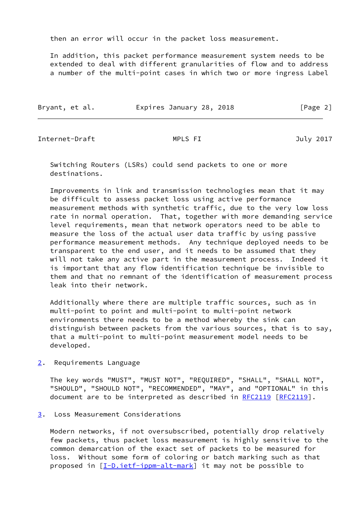then an error will occur in the packet loss measurement.

 In addition, this packet performance measurement system needs to be extended to deal with different granularities of flow and to address a number of the multi-point cases in which two or more ingress Label

| Bryant, et al. | Expires January 28, 2018 | [Page 2] |
|----------------|--------------------------|----------|
|                |                          |          |

<span id="page-2-1"></span>Internet-Draft MPLS FI July 2017

 Switching Routers (LSRs) could send packets to one or more destinations.

 Improvements in link and transmission technologies mean that it may be difficult to assess packet loss using active performance measurement methods with synthetic traffic, due to the very low loss rate in normal operation. That, together with more demanding service level requirements, mean that network operators need to be able to measure the loss of the actual user data traffic by using passive performance measurement methods. Any technique deployed needs to be transparent to the end user, and it needs to be assumed that they will not take any active part in the measurement process. Indeed it is important that any flow identification technique be invisible to them and that no remnant of the identification of measurement process leak into their network.

 Additionally where there are multiple traffic sources, such as in multi-point to point and multi-point to multi-point network environments there needs to be a method whereby the sink can distinguish between packets from the various sources, that is to say, that a multi-point to multi-point measurement model needs to be developed.

<span id="page-2-0"></span>[2](#page-2-0). Requirements Language

 The key words "MUST", "MUST NOT", "REQUIRED", "SHALL", "SHALL NOT", "SHOULD", "SHOULD NOT", "RECOMMENDED", "MAY", and "OPTIONAL" in this document are to be interpreted as described in [RFC2119](https://datatracker.ietf.org/doc/pdf/rfc2119) [\[RFC2119](https://datatracker.ietf.org/doc/pdf/rfc2119)].

<span id="page-2-2"></span>[3](#page-2-2). Loss Measurement Considerations

 Modern networks, if not oversubscribed, potentially drop relatively few packets, thus packet loss measurement is highly sensitive to the common demarcation of the exact set of packets to be measured for loss. Without some form of coloring or batch marking such as that proposed in [\[I-D.ietf-ippm-alt-mark](#page-10-3)] it may not be possible to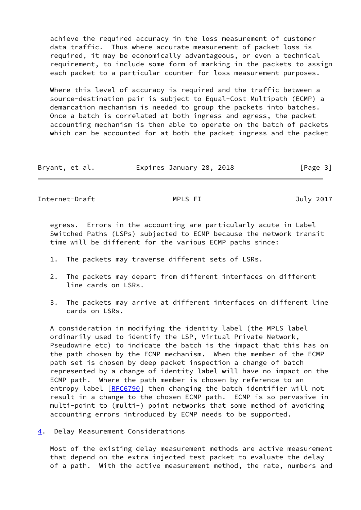achieve the required accuracy in the loss measurement of customer data traffic. Thus where accurate measurement of packet loss is required, it may be economically advantageous, or even a technical requirement, to include some form of marking in the packets to assign each packet to a particular counter for loss measurement purposes.

 Where this level of accuracy is required and the traffic between a source-destination pair is subject to Equal-Cost Multipath (ECMP) a demarcation mechanism is needed to group the packets into batches. Once a batch is correlated at both ingress and egress, the packet accounting mechanism is then able to operate on the batch of packets which can be accounted for at both the packet ingress and the packet

| Bryant, et al. | Expires January 28, 2018 | [Page 3] |
|----------------|--------------------------|----------|
|----------------|--------------------------|----------|

<span id="page-3-1"></span>Internet-Draft MPLS FI July 2017

 egress. Errors in the accounting are particularly acute in Label Switched Paths (LSPs) subjected to ECMP because the network transit time will be different for the various ECMP paths since:

- 1. The packets may traverse different sets of LSRs.
- 2. The packets may depart from different interfaces on different line cards on LSRs.
- 3. The packets may arrive at different interfaces on different line cards on LSRs.

 A consideration in modifying the identity label (the MPLS label ordinarily used to identify the LSP, Virtual Private Network, Pseudowire etc) to indicate the batch is the impact that this has on the path chosen by the ECMP mechanism. When the member of the ECMP path set is chosen by deep packet inspection a change of batch represented by a change of identity label will have no impact on the ECMP path. Where the path member is chosen by reference to an entropy label [[RFC6790](https://datatracker.ietf.org/doc/pdf/rfc6790)] then changing the batch identifier will not result in a change to the chosen ECMP path. ECMP is so pervasive in multi-point to (multi-) point networks that some method of avoiding accounting errors introduced by ECMP needs to be supported.

<span id="page-3-0"></span>[4](#page-3-0). Delay Measurement Considerations

 Most of the existing delay measurement methods are active measurement that depend on the extra injected test packet to evaluate the delay of a path. With the active measurement method, the rate, numbers and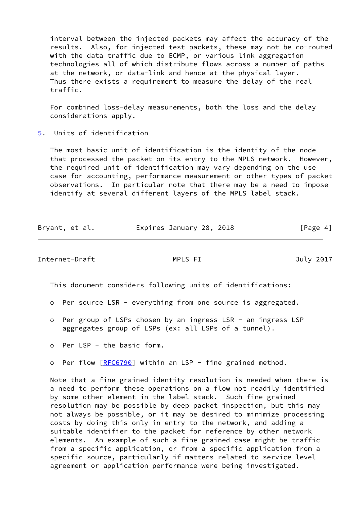interval between the injected packets may affect the accuracy of the results. Also, for injected test packets, these may not be co-routed with the data traffic due to ECMP, or various link aggregation technologies all of which distribute flows across a number of paths at the network, or data-link and hence at the physical layer. Thus there exists a requirement to measure the delay of the real traffic.

 For combined loss-delay measurements, both the loss and the delay considerations apply.

<span id="page-4-0"></span>[5](#page-4-0). Units of identification

 The most basic unit of identification is the identity of the node that processed the packet on its entry to the MPLS network. However, the required unit of identification may vary depending on the use case for accounting, performance measurement or other types of packet observations. In particular note that there may be a need to impose identify at several different layers of the MPLS label stack.

| Bryant, et al. | Expires January 28, 2018 |  | [Page 4] |
|----------------|--------------------------|--|----------|
|----------------|--------------------------|--|----------|

Internet-Draft MPLS FI July 2017

This document considers following units of identifications:

- o Per source LSR everything from one source is aggregated.
- o Per group of LSPs chosen by an ingress LSR an ingress LSP aggregates group of LSPs (ex: all LSPs of a tunnel).
- o Per LSP the basic form.
- o Per flow [\[RFC6790](https://datatracker.ietf.org/doc/pdf/rfc6790)] within an LSP fine grained method.

 Note that a fine grained identity resolution is needed when there is a need to perform these operations on a flow not readily identified by some other element in the label stack. Such fine grained resolution may be possible by deep packet inspection, but this may not always be possible, or it may be desired to minimize processing costs by doing this only in entry to the network, and adding a suitable identifier to the packet for reference by other network elements. An example of such a fine grained case might be traffic from a specific application, or from a specific application from a specific source, particularly if matters related to service level agreement or application performance were being investigated.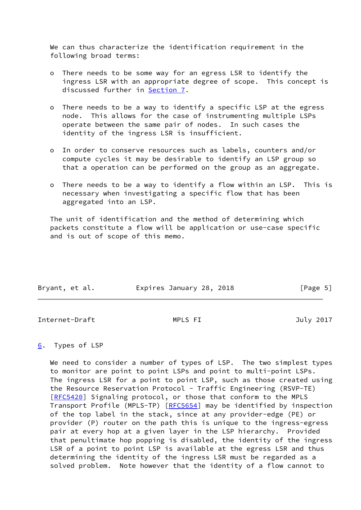We can thus characterize the identification requirement in the following broad terms:

- o There needs to be some way for an egress LSR to identify the ingress LSR with an appropriate degree of scope. This concept is discussed further in [Section 7](#page-6-0).
- o There needs to be a way to identify a specific LSP at the egress node. This allows for the case of instrumenting multiple LSPs operate between the same pair of nodes. In such cases the identity of the ingress LSR is insufficient.
- o In order to conserve resources such as labels, counters and/or compute cycles it may be desirable to identify an LSP group so that a operation can be performed on the group as an aggregate.
- o There needs to be a way to identify a flow within an LSP. This is necessary when investigating a specific flow that has been aggregated into an LSP.

 The unit of identification and the method of determining which packets constitute a flow will be application or use-case specific and is out of scope of this memo.

| Bryant, et al. | Expires January 28, 2018 | [Page 5] |
|----------------|--------------------------|----------|
|                |                          |          |

<span id="page-5-1"></span>Internet-Draft MPLS FI July 2017

# <span id="page-5-0"></span>[6](#page-5-0). Types of LSP

We need to consider a number of types of LSP. The two simplest types to monitor are point to point LSPs and point to multi-point LSPs. The ingress LSR for a point to point LSP, such as those created using the Resource Reservation Protocol - Traffic Engineering (RSVP-TE) [\[RFC5420](https://datatracker.ietf.org/doc/pdf/rfc5420)] Signaling protocol, or those that conform to the MPLS Transport Profile (MPLS-TP) [\[RFC5654](https://datatracker.ietf.org/doc/pdf/rfc5654)] may be identified by inspection of the top label in the stack, since at any provider-edge (PE) or provider (P) router on the path this is unique to the ingress-egress pair at every hop at a given layer in the LSP hierarchy. Provided that penultimate hop popping is disabled, the identity of the ingress LSR of a point to point LSP is available at the egress LSR and thus determining the identity of the ingress LSR must be regarded as a solved problem. Note however that the identity of a flow cannot to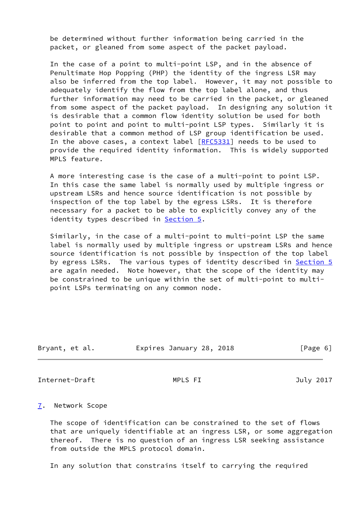be determined without further information being carried in the packet, or gleaned from some aspect of the packet payload.

 In the case of a point to multi-point LSP, and in the absence of Penultimate Hop Popping (PHP) the identity of the ingress LSR may also be inferred from the top label. However, it may not possible to adequately identify the flow from the top label alone, and thus further information may need to be carried in the packet, or gleaned from some aspect of the packet payload. In designing any solution it is desirable that a common flow identity solution be used for both point to point and point to multi-point LSP types. Similarly it is desirable that a common method of LSP group identification be used. In the above cases, a context label [\[RFC5331](https://datatracker.ietf.org/doc/pdf/rfc5331)] needs to be used to provide the required identity information. This is widely supported MPLS feature.

 A more interesting case is the case of a multi-point to point LSP. In this case the same label is normally used by multiple ingress or upstream LSRs and hence source identification is not possible by inspection of the top label by the egress LSRs. It is therefore necessary for a packet to be able to explicitly convey any of the identity types described in [Section 5.](#page-4-0)

 Similarly, in the case of a multi-point to multi-point LSP the same label is normally used by multiple ingress or upstream LSRs and hence source identification is not possible by inspection of the top label by egress LSRs. The various types of identity described in [Section 5](#page-4-0) are again needed. Note however, that the scope of the identity may be constrained to be unique within the set of multi-point to multi point LSPs terminating on any common node.

| Bryant, et al. | Expires January 28, 2018 | [Page 6] |
|----------------|--------------------------|----------|
|                |                          |          |

<span id="page-6-1"></span>Internet-Draft MPLS FI July 2017

## <span id="page-6-0"></span>[7](#page-6-0). Network Scope

 The scope of identification can be constrained to the set of flows that are uniquely identifiable at an ingress LSR, or some aggregation thereof. There is no question of an ingress LSR seeking assistance from outside the MPLS protocol domain.

In any solution that constrains itself to carrying the required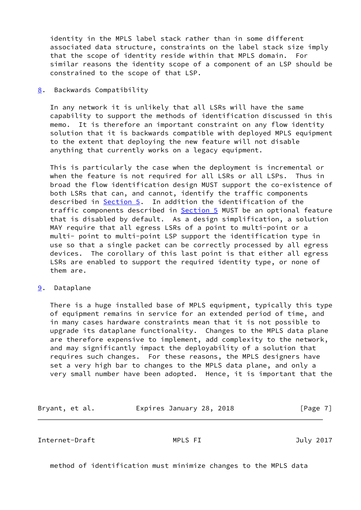identity in the MPLS label stack rather than in some different associated data structure, constraints on the label stack size imply that the scope of identity reside within that MPLS domain. For similar reasons the identity scope of a component of an LSP should be constrained to the scope of that LSP.

### <span id="page-7-0"></span>[8](#page-7-0). Backwards Compatibility

 In any network it is unlikely that all LSRs will have the same capability to support the methods of identification discussed in this memo. It is therefore an important constraint on any flow identity solution that it is backwards compatible with deployed MPLS equipment to the extent that deploying the new feature will not disable anything that currently works on a legacy equipment.

 This is particularly the case when the deployment is incremental or when the feature is not required for all LSRs or all LSPs. Thus in broad the flow identification design MUST support the co-existence of both LSRs that can, and cannot, identify the traffic components described in [Section 5](#page-4-0). In addition the identification of the traffic components described in [Section 5](#page-4-0) MUST be an optional feature that is disabled by default. As a design simplification, a solution MAY require that all egress LSRs of a point to multi-point or a multi- point to multi-point LSP support the identification type in use so that a single packet can be correctly processed by all egress devices. The corollary of this last point is that either all egress LSRs are enabled to support the required identity type, or none of them are.

## <span id="page-7-1"></span>[9](#page-7-1). Dataplane

 There is a huge installed base of MPLS equipment, typically this type of equipment remains in service for an extended period of time, and in many cases hardware constraints mean that it is not possible to upgrade its dataplane functionality. Changes to the MPLS data plane are therefore expensive to implement, add complexity to the network, and may significantly impact the deployability of a solution that requires such changes. For these reasons, the MPLS designers have set a very high bar to changes to the MPLS data plane, and only a very small number have been adopted. Hence, it is important that the

Bryant, et al. **Expires January 28, 2018** [Page 7]

Internet-Draft MPLS FI July 2017

method of identification must minimize changes to the MPLS data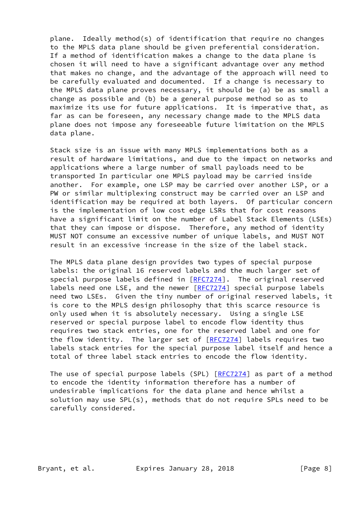plane. Ideally method(s) of identification that require no changes to the MPLS data plane should be given preferential consideration. If a method of identification makes a change to the data plane is chosen it will need to have a significant advantage over any method that makes no change, and the advantage of the approach will need to be carefully evaluated and documented. If a change is necessary to the MPLS data plane proves necessary, it should be (a) be as small a change as possible and (b) be a general purpose method so as to maximize its use for future applications. It is imperative that, as far as can be foreseen, any necessary change made to the MPLS data plane does not impose any foreseeable future limitation on the MPLS data plane.

 Stack size is an issue with many MPLS implementations both as a result of hardware limitations, and due to the impact on networks and applications where a large number of small payloads need to be transported In particular one MPLS payload may be carried inside another. For example, one LSP may be carried over another LSP, or a PW or similar multiplexing construct may be carried over an LSP and identification may be required at both layers. Of particular concern is the implementation of low cost edge LSRs that for cost reasons have a significant limit on the number of Label Stack Elements (LSEs) that they can impose or dispose. Therefore, any method of identity MUST NOT consume an excessive number of unique labels, and MUST NOT result in an excessive increase in the size of the label stack.

 The MPLS data plane design provides two types of special purpose labels: the original 16 reserved labels and the much larger set of special purpose labels defined in [[RFC7274](https://datatracker.ietf.org/doc/pdf/rfc7274)]. The original reserved labels need one LSE, and the newer [[RFC7274\]](https://datatracker.ietf.org/doc/pdf/rfc7274) special purpose labels need two LSEs. Given the tiny number of original reserved labels, it is core to the MPLS design philosophy that this scarce resource is only used when it is absolutely necessary. Using a single LSE reserved or special purpose label to encode flow identity thus requires two stack entries, one for the reserved label and one for the flow identity. The larger set of [[RFC7274](https://datatracker.ietf.org/doc/pdf/rfc7274)] labels requires two labels stack entries for the special purpose label itself and hence a total of three label stack entries to encode the flow identity.

The use of special purpose labels (SPL) [\[RFC7274](https://datatracker.ietf.org/doc/pdf/rfc7274)] as part of a method to encode the identity information therefore has a number of undesirable implications for the data plane and hence whilst a solution may use SPL(s), methods that do not require SPLs need to be carefully considered.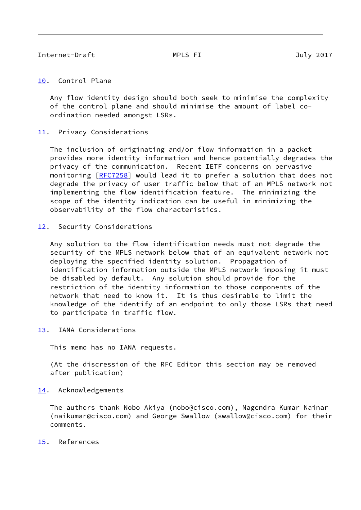## <span id="page-9-1"></span><span id="page-9-0"></span>[10.](#page-9-0) Control Plane

 Any flow identity design should both seek to minimise the complexity of the control plane and should minimise the amount of label co ordination needed amongst LSRs.

## <span id="page-9-2"></span>[11.](#page-9-2) Privacy Considerations

 The inclusion of originating and/or flow information in a packet provides more identity information and hence potentially degrades the privacy of the communication. Recent IETF concerns on pervasive monitoring [[RFC7258\]](https://datatracker.ietf.org/doc/pdf/rfc7258) would lead it to prefer a solution that does not degrade the privacy of user traffic below that of an MPLS network not implementing the flow identification feature. The minimizing the scope of the identity indication can be useful in minimizing the observability of the flow characteristics.

# <span id="page-9-3"></span>[12.](#page-9-3) Security Considerations

 Any solution to the flow identification needs must not degrade the security of the MPLS network below that of an equivalent network not deploying the specified identity solution. Propagation of identification information outside the MPLS network imposing it must be disabled by default. Any solution should provide for the restriction of the identity information to those components of the network that need to know it. It is thus desirable to limit the knowledge of the identify of an endpoint to only those LSRs that need to participate in traffic flow.

<span id="page-9-4"></span>[13.](#page-9-4) IANA Considerations

This memo has no IANA requests.

 (At the discression of the RFC Editor this section may be removed after publication)

# <span id="page-9-5"></span>[14.](#page-9-5) Acknowledgements

 The authors thank Nobo Akiya (nobo@cisco.com), Nagendra Kumar Nainar (naikumar@cisco.com) and George Swallow (swallow@cisco.com) for their comments.

# <span id="page-9-6"></span>[15.](#page-9-6) References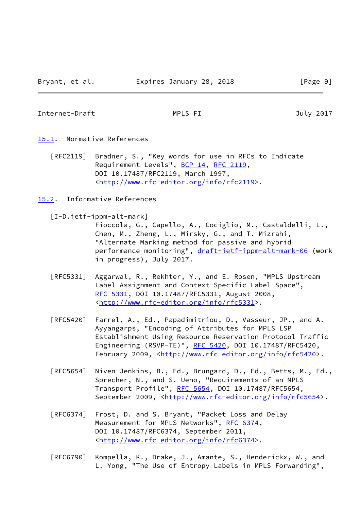<span id="page-10-1"></span>Internet-Draft MPLS FI July 2017

- <span id="page-10-0"></span>[15.1](#page-10-0). Normative References
	- [RFC2119] Bradner, S., "Key words for use in RFCs to Indicate Requirement Levels", [BCP 14](https://datatracker.ietf.org/doc/pdf/bcp14), [RFC 2119](https://datatracker.ietf.org/doc/pdf/rfc2119), DOI 10.17487/RFC2119, March 1997, <<http://www.rfc-editor.org/info/rfc2119>>.
- <span id="page-10-2"></span>[15.2](#page-10-2). Informative References

<span id="page-10-3"></span>[I-D.ietf-ippm-alt-mark]

 Fioccola, G., Capello, A., Cociglio, M., Castaldelli, L., Chen, M., Zheng, L., Mirsky, G., and T. Mizrahi, "Alternate Marking method for passive and hybrid performance monitoring", [draft-ietf-ippm-alt-mark-06](https://datatracker.ietf.org/doc/pdf/draft-ietf-ippm-alt-mark-06) (work in progress), July 2017.

- [RFC5331] Aggarwal, R., Rekhter, Y., and E. Rosen, "MPLS Upstream Label Assignment and Context-Specific Label Space", [RFC 5331,](https://datatracker.ietf.org/doc/pdf/rfc5331) DOI 10.17487/RFC5331, August 2008, <<http://www.rfc-editor.org/info/rfc5331>>.
- [RFC5420] Farrel, A., Ed., Papadimitriou, D., Vasseur, JP., and A. Ayyangarps, "Encoding of Attributes for MPLS LSP Establishment Using Resource Reservation Protocol Traffic Engineering (RSVP-TE)", [RFC 5420,](https://datatracker.ietf.org/doc/pdf/rfc5420) DOI 10.17487/RFC5420, February 2009, <<http://www.rfc-editor.org/info/rfc5420>>.
- [RFC5654] Niven-Jenkins, B., Ed., Brungard, D., Ed., Betts, M., Ed., Sprecher, N., and S. Ueno, "Requirements of an MPLS Transport Profile", [RFC 5654,](https://datatracker.ietf.org/doc/pdf/rfc5654) DOI 10.17487/RFC5654, September 2009, <<http://www.rfc-editor.org/info/rfc5654>>.
- [RFC6374] Frost, D. and S. Bryant, "Packet Loss and Delay Measurement for MPLS Networks", [RFC 6374,](https://datatracker.ietf.org/doc/pdf/rfc6374) DOI 10.17487/RFC6374, September 2011, <<http://www.rfc-editor.org/info/rfc6374>>.
- [RFC6790] Kompella, K., Drake, J., Amante, S., Henderickx, W., and L. Yong, "The Use of Entropy Labels in MPLS Forwarding",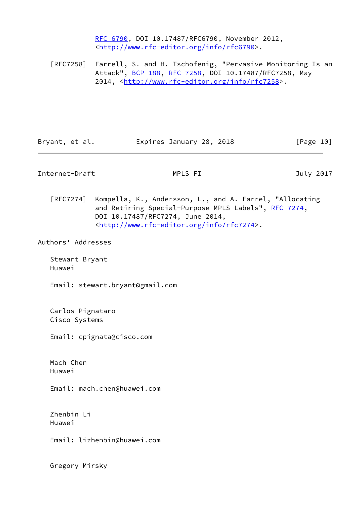[RFC 6790,](https://datatracker.ietf.org/doc/pdf/rfc6790) DOI 10.17487/RFC6790, November 2012, <<http://www.rfc-editor.org/info/rfc6790>>.

 [RFC7258] Farrell, S. and H. Tschofenig, "Pervasive Monitoring Is an Attack", [BCP 188,](https://datatracker.ietf.org/doc/pdf/bcp188) [RFC 7258](https://datatracker.ietf.org/doc/pdf/rfc7258), DOI 10.17487/RFC7258, May 2014, [<http://www.rfc-editor.org/info/rfc7258](http://www.rfc-editor.org/info/rfc7258)>.

Bryant, et al. Expires January 28, 2018 [Page 10]

<span id="page-11-0"></span>Internet-Draft MPLS FI July 2017

 [RFC7274] Kompella, K., Andersson, L., and A. Farrel, "Allocating and Retiring Special-Purpose MPLS Labels", [RFC 7274](https://datatracker.ietf.org/doc/pdf/rfc7274), DOI 10.17487/RFC7274, June 2014, <<http://www.rfc-editor.org/info/rfc7274>>.

Authors' Addresses

 Stewart Bryant Huawei

Email: stewart.bryant@gmail.com

 Carlos Pignataro Cisco Systems

Email: cpignata@cisco.com

 Mach Chen Huawei

Email: mach.chen@huawei.com

 Zhenbin Li Huawei

Email: lizhenbin@huawei.com

Gregory Mirsky